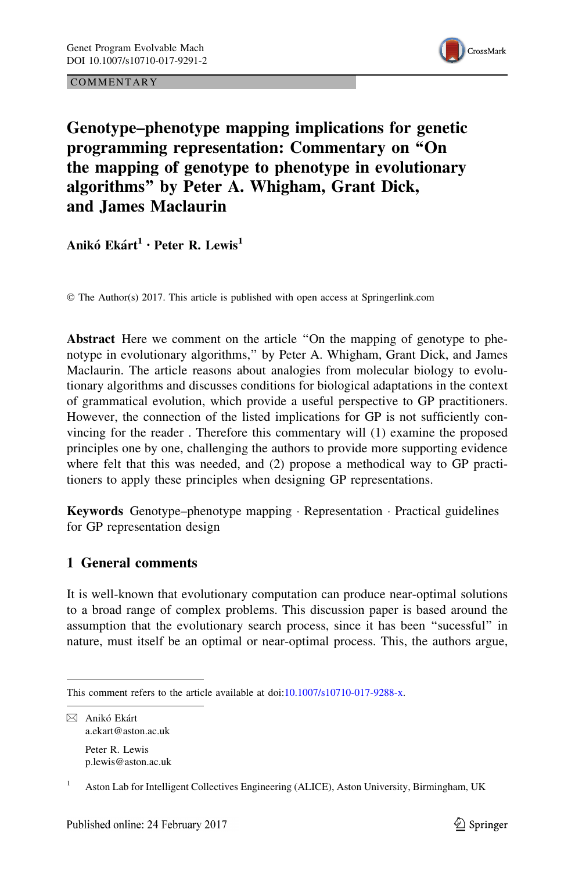**COMMENTARY** 



Genotype–phenotype mapping implications for genetic programming representation: Commentary on ''On the mapping of genotype to phenotype in evolutionary algorithms'' by Peter A. Whigham, Grant Dick, and James Maclaurin

Anikó Ekárt<sup>1</sup> · Peter R. Lewis<sup>1</sup>

© The Author(s) 2017. This article is published with open access at Springerlink.com

Abstract Here we comment on the article "On the mapping of genotype to phenotype in evolutionary algorithms,'' by Peter A. Whigham, Grant Dick, and James Maclaurin. The article reasons about analogies from molecular biology to evolutionary algorithms and discusses conditions for biological adaptations in the context of grammatical evolution, which provide a useful perspective to GP practitioners. However, the connection of the listed implications for GP is not sufficiently convincing for the reader . Therefore this commentary will (1) examine the proposed principles one by one, challenging the authors to provide more supporting evidence where felt that this was needed, and (2) propose a methodical way to GP practitioners to apply these principles when designing GP representations.

Keywords Genotype–phenotype mapping - Representation - Practical guidelines for GP representation design

## 1 General comments

It is well-known that evolutionary computation can produce near-optimal solutions to a broad range of complex problems. This discussion paper is based around the assumption that the evolutionary search process, since it has been ''sucessful'' in nature, must itself be an optimal or near-optimal process. This, the authors argue,

This comment refers to the article available at doi[:10.1007/s10710-017-9288-x](http://dx.doi.org/10.1007/s10710-017-9288-x).

 $\boxtimes$  Anikó Ekárt a.ekart@aston.ac.uk Peter R. Lewis p.lewis@aston.ac.uk

<sup>&</sup>lt;sup>1</sup> Aston Lab for Intelligent Collectives Engineering (ALICE), Aston University, Birmingham, UK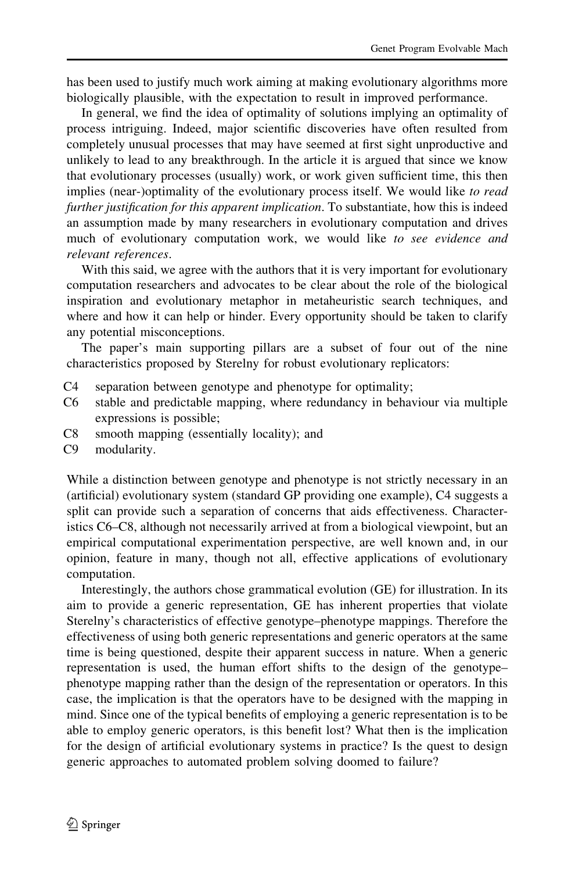has been used to justify much work aiming at making evolutionary algorithms more biologically plausible, with the expectation to result in improved performance.

In general, we find the idea of optimality of solutions implying an optimality of process intriguing. Indeed, major scientific discoveries have often resulted from completely unusual processes that may have seemed at first sight unproductive and unlikely to lead to any breakthrough. In the article it is argued that since we know that evolutionary processes (usually) work, or work given sufficient time, this then implies (near-)optimality of the evolutionary process itself. We would like to read further justification for this apparent implication. To substantiate, how this is indeed an assumption made by many researchers in evolutionary computation and drives much of evolutionary computation work, we would like to see evidence and relevant references.

With this said, we agree with the authors that it is very important for evolutionary computation researchers and advocates to be clear about the role of the biological inspiration and evolutionary metaphor in metaheuristic search techniques, and where and how it can help or hinder. Every opportunity should be taken to clarify any potential misconceptions.

The paper's main supporting pillars are a subset of four out of the nine characteristics proposed by Sterelny for robust evolutionary replicators:

- C4 separation between genotype and phenotype for optimality;
- C6 stable and predictable mapping, where redundancy in behaviour via multiple expressions is possible;
- C8 smooth mapping (essentially locality); and
- C9 modularity.

While a distinction between genotype and phenotype is not strictly necessary in an (artificial) evolutionary system (standard GP providing one example), C4 suggests a split can provide such a separation of concerns that aids effectiveness. Characteristics C6–C8, although not necessarily arrived at from a biological viewpoint, but an empirical computational experimentation perspective, are well known and, in our opinion, feature in many, though not all, effective applications of evolutionary computation.

Interestingly, the authors chose grammatical evolution (GE) for illustration. In its aim to provide a generic representation, GE has inherent properties that violate Sterelny's characteristics of effective genotype–phenotype mappings. Therefore the effectiveness of using both generic representations and generic operators at the same time is being questioned, despite their apparent success in nature. When a generic representation is used, the human effort shifts to the design of the genotype– phenotype mapping rather than the design of the representation or operators. In this case, the implication is that the operators have to be designed with the mapping in mind. Since one of the typical benefits of employing a generic representation is to be able to employ generic operators, is this benefit lost? What then is the implication for the design of artificial evolutionary systems in practice? Is the quest to design generic approaches to automated problem solving doomed to failure?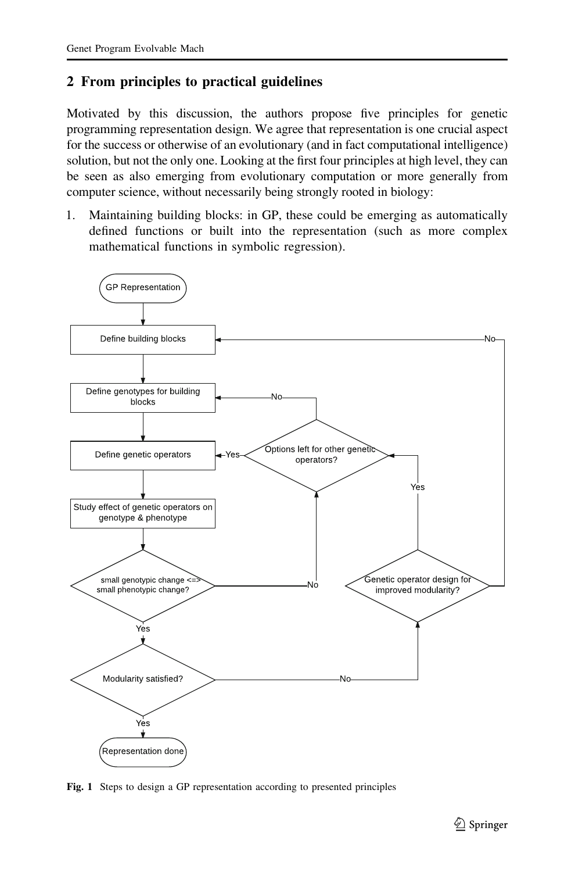## <span id="page-2-0"></span>2 From principles to practical guidelines

Motivated by this discussion, the authors propose five principles for genetic programming representation design. We agree that representation is one crucial aspect for the success or otherwise of an evolutionary (and in fact computational intelligence) solution, but not the only one. Looking at the first four principles at high level, they can be seen as also emerging from evolutionary computation or more generally from computer science, without necessarily being strongly rooted in biology:

1. Maintaining building blocks: in GP, these could be emerging as automatically defined functions or built into the representation (such as more complex mathematical functions in symbolic regression).



Fig. 1 Steps to design a GP representation according to presented principles